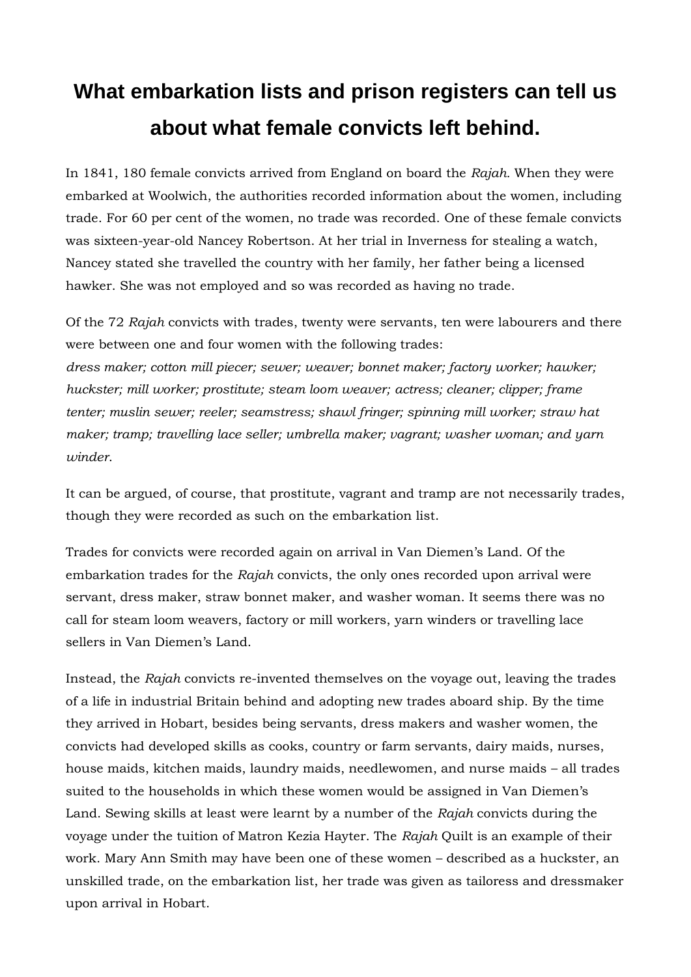## **What embarkation lists and prison registers can tell us about what female convicts left behind.**

In 1841, 180 female convicts arrived from England on board the *Rajah.* When they were embarked at Woolwich, the authorities recorded information about the women, including trade. For 60 per cent of the women, no trade was recorded. One of these female convicts was sixteen-year-old Nancey Robertson. At her trial in Inverness for stealing a watch, Nancey stated she travelled the country with her family, her father being a licensed hawker. She was not employed and so was recorded as having no trade.

Of the 72 *Rajah* convicts with trades, twenty were servants, ten were labourers and there were between one and four women with the following trades:

*dress maker; cotton mill piecer; sewer; weaver; bonnet maker; factory worker; hawker; huckster; mill worker; prostitute; steam loom weaver; actress; cleaner; clipper; frame tenter; muslin sewer; reeler; seamstress; shawl fringer; spinning mill worker; straw hat maker; tramp; travelling lace seller; umbrella maker; vagrant; washer woman; and yarn winder*.

It can be argued, of course, that prostitute, vagrant and tramp are not necessarily trades, though they were recorded as such on the embarkation list.

Trades for convicts were recorded again on arrival in Van Diemen's Land. Of the embarkation trades for the *Rajah* convicts, the only ones recorded upon arrival were servant, dress maker, straw bonnet maker, and washer woman. It seems there was no call for steam loom weavers, factory or mill workers, yarn winders or travelling lace sellers in Van Diemen's Land.

Instead, the *Rajah* convicts re-invented themselves on the voyage out, leaving the trades of a life in industrial Britain behind and adopting new trades aboard ship. By the time they arrived in Hobart, besides being servants, dress makers and washer women, the convicts had developed skills as cooks, country or farm servants, dairy maids, nurses, house maids, kitchen maids, laundry maids, needlewomen, and nurse maids – all trades suited to the households in which these women would be assigned in Van Diemen's Land. Sewing skills at least were learnt by a number of the *Rajah* convicts during the voyage under the tuition of Matron Kezia Hayter. The *Rajah* Quilt is an example of their work. Mary Ann Smith may have been one of these women – described as a huckster, an unskilled trade, on the embarkation list, her trade was given as tailoress and dressmaker upon arrival in Hobart.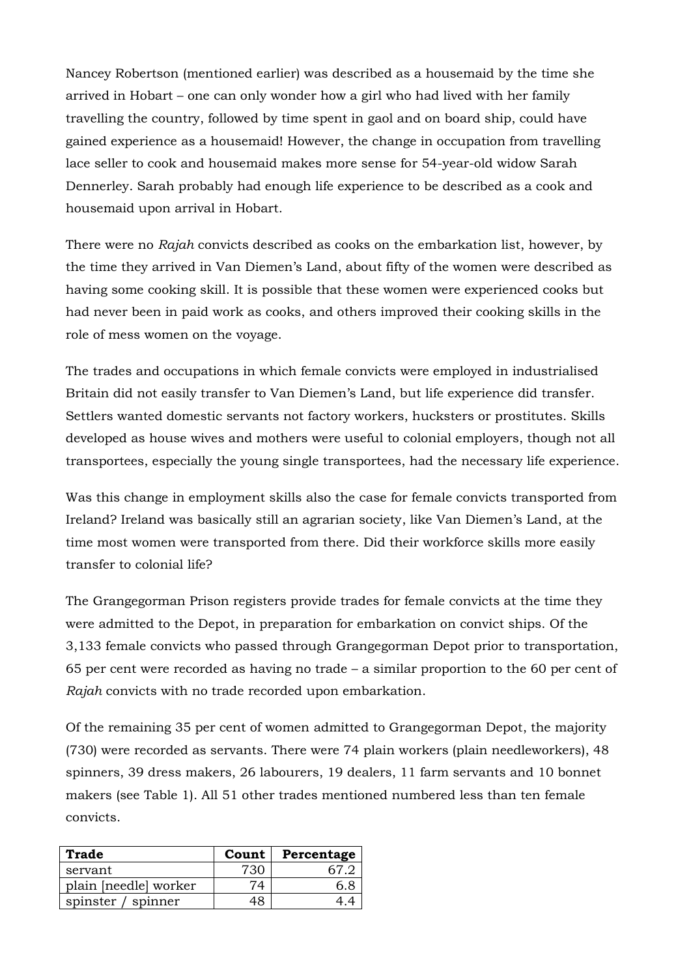Nancey Robertson (mentioned earlier) was described as a housemaid by the time she arrived in Hobart – one can only wonder how a girl who had lived with her family travelling the country, followed by time spent in gaol and on board ship, could have gained experience as a housemaid! However, the change in occupation from travelling lace seller to cook and housemaid makes more sense for 54-year-old widow Sarah Dennerley. Sarah probably had enough life experience to be described as a cook and housemaid upon arrival in Hobart.

There were no *Rajah* convicts described as cooks on the embarkation list, however, by the time they arrived in Van Diemen's Land, about fifty of the women were described as having some cooking skill. It is possible that these women were experienced cooks but had never been in paid work as cooks, and others improved their cooking skills in the role of mess women on the voyage.

The trades and occupations in which female convicts were employed in industrialised Britain did not easily transfer to Van Diemen's Land, but life experience did transfer. Settlers wanted domestic servants not factory workers, hucksters or prostitutes. Skills developed as house wives and mothers were useful to colonial employers, though not all transportees, especially the young single transportees, had the necessary life experience.

Was this change in employment skills also the case for female convicts transported from Ireland? Ireland was basically still an agrarian society, like Van Diemen's Land, at the time most women were transported from there. Did their workforce skills more easily transfer to colonial life?

The Grangegorman Prison registers provide trades for female convicts at the time they were admitted to the Depot, in preparation for embarkation on convict ships. Of the 3,133 female convicts who passed through Grangegorman Depot prior to transportation, 65 per cent were recorded as having no trade – a similar proportion to the 60 per cent of *Rajah* convicts with no trade recorded upon embarkation.

Of the remaining 35 per cent of women admitted to Grangegorman Depot, the majority (730) were recorded as servants. There were 74 plain workers (plain needleworkers), 48 spinners, 39 dress makers, 26 labourers, 19 dealers, 11 farm servants and 10 bonnet makers (see Table 1). All 51 other trades mentioned numbered less than ten female convicts.

| Trade                 | Count | Percentage |
|-----------------------|-------|------------|
| servant               | 730   |            |
| plain [needle] worker |       |            |
| spinster / spinner    |       |            |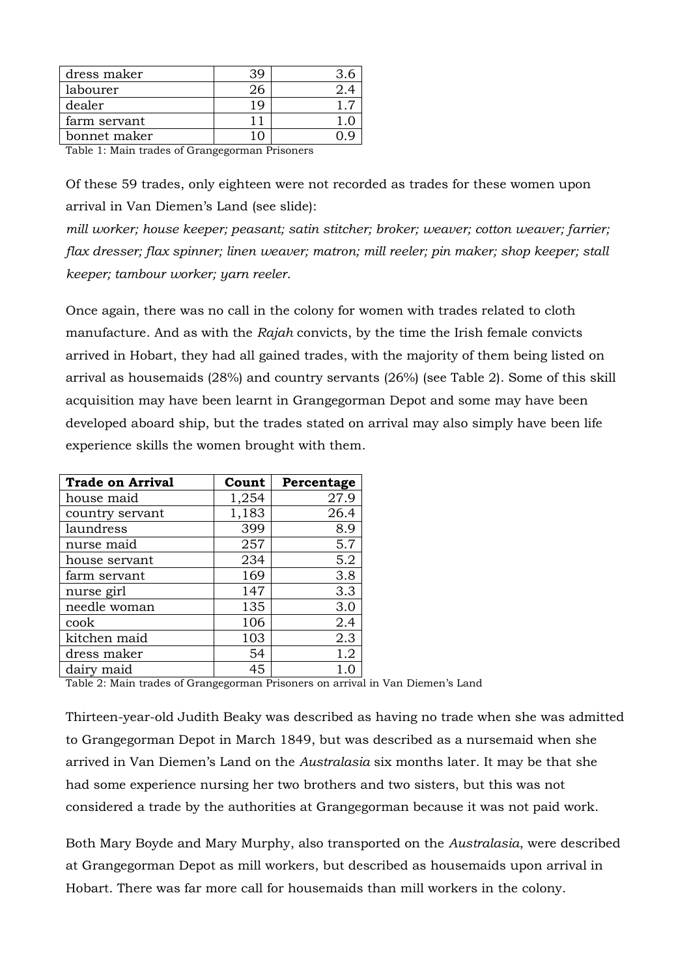| dress maker  |  |
|--------------|--|
| labourer     |  |
| dealer       |  |
| farm servant |  |
| bonnet maker |  |
|              |  |

Table 1: Main trades of Grangegorman Prisoners

Of these 59 trades, only eighteen were not recorded as trades for these women upon arrival in Van Diemen's Land (see slide):

*mill worker; house keeper; peasant; satin stitcher; broker; weaver; cotton weaver; farrier; flax dresser; flax spinner; linen weaver; matron; mill reeler; pin maker; shop keeper; stall keeper; tambour worker; yarn reeler*.

Once again, there was no call in the colony for women with trades related to cloth manufacture. And as with the *Rajah* convicts, by the time the Irish female convicts arrived in Hobart, they had all gained trades, with the majority of them being listed on arrival as housemaids (28%) and country servants (26%) (see Table 2). Some of this skill acquisition may have been learnt in Grangegorman Depot and some may have been developed aboard ship, but the trades stated on arrival may also simply have been life experience skills the women brought with them.

| <b>Trade on Arrival</b> | Count | Percentage |
|-------------------------|-------|------------|
| house maid              | 1,254 | 27.9       |
| country servant         | 1,183 | 26.4       |
| laundress               | 399   | 8.9        |
| nurse maid              | 257   | 5.7        |
| house servant           | 234   | 5.2        |
| farm servant            | 169   | 3.8        |
| nurse girl              | 147   | 3.3        |
| needle woman            | 135   | 3.0        |
| cook                    | 106   | 2.4        |
| kitchen maid            | 103   | 2.3        |
| dress maker             | 54    | 1.2        |
| dairy maid              | 45    | 1.0        |

Table 2: Main trades of Grangegorman Prisoners on arrival in Van Diemen's Land

Thirteen-year-old Judith Beaky was described as having no trade when she was admitted to Grangegorman Depot in March 1849, but was described as a nursemaid when she arrived in Van Diemen's Land on the *Australasia* six months later. It may be that she had some experience nursing her two brothers and two sisters, but this was not considered a trade by the authorities at Grangegorman because it was not paid work.

Both Mary Boyde and Mary Murphy, also transported on the *Australasia*, were described at Grangegorman Depot as mill workers, but described as housemaids upon arrival in Hobart. There was far more call for housemaids than mill workers in the colony.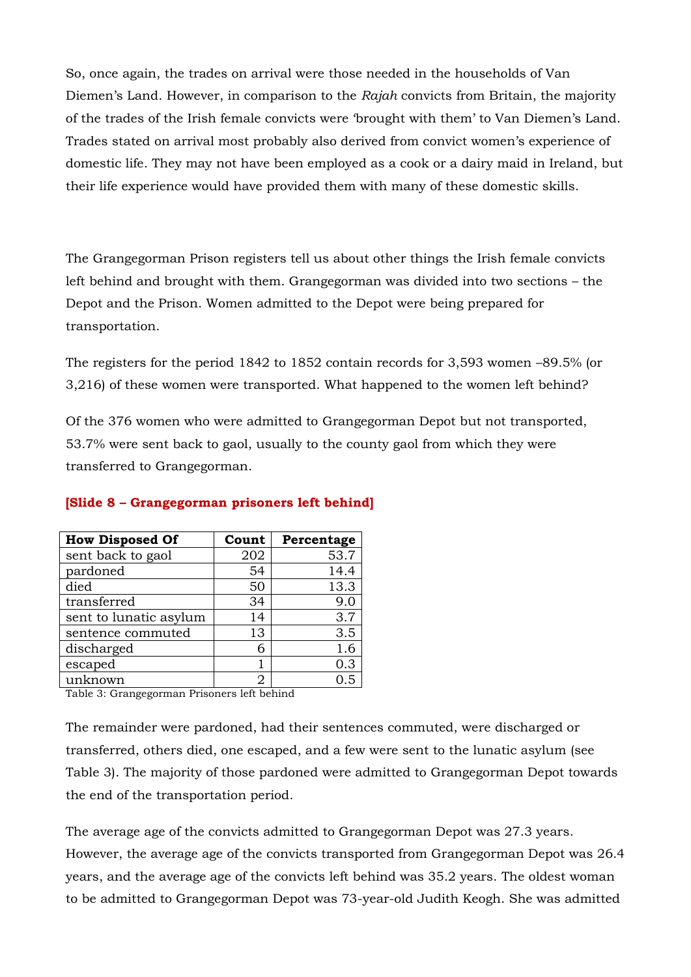So, once again, the trades on arrival were those needed in the households of Van Diemen's Land. However, in comparison to the *Rajah* convicts from Britain, the majority of the trades of the Irish female convicts were 'brought with them' to Van Diemen's Land. Trades stated on arrival most probably also derived from convict women's experience of domestic life. They may not have been employed as a cook or a dairy maid in Ireland, but their life experience would have provided them with many of these domestic skills.

The Grangegorman Prison registers tell us about other things the Irish female convicts left behind and brought with them. Grangegorman was divided into two sections – the Depot and the Prison. Women admitted to the Depot were being prepared for transportation.

The registers for the period 1842 to 1852 contain records for 3,593 women –89.5% (or 3,216) of these women were transported. What happened to the women left behind?

Of the 376 women who were admitted to Grangegorman Depot but not transported, 53.7% were sent back to gaol, usually to the county gaol from which they were transferred to Grangegorman.

| <b>How Disposed Of</b> | Count | Percentage |
|------------------------|-------|------------|
| sent back to gaol      | 202   | 53.7       |
| pardoned               | 54    | 14.4       |
| died                   | 50    | 13.3       |
| transferred            | 34    | 9.0        |
| sent to lunatic asylum | 14    | 3.7        |
| sentence commuted      | 13    | 3.5        |
| discharged             | 6     | 1.6        |
| escaped                |       | 0.3        |
| unknown                | 2     |            |

## **[Slide 8 – Grangegorman prisoners left behind]**

Table 3: Grangegorman Prisoners left behind

The remainder were pardoned, had their sentences commuted, were discharged or transferred, others died, one escaped, and a few were sent to the lunatic asylum (see Table 3). The majority of those pardoned were admitted to Grangegorman Depot towards the end of the transportation period.

The average age of the convicts admitted to Grangegorman Depot was 27.3 years. However, the average age of the convicts transported from Grangegorman Depot was 26.4 years, and the average age of the convicts left behind was 35.2 years. The oldest woman to be admitted to Grangegorman Depot was 73-year-old Judith Keogh. She was admitted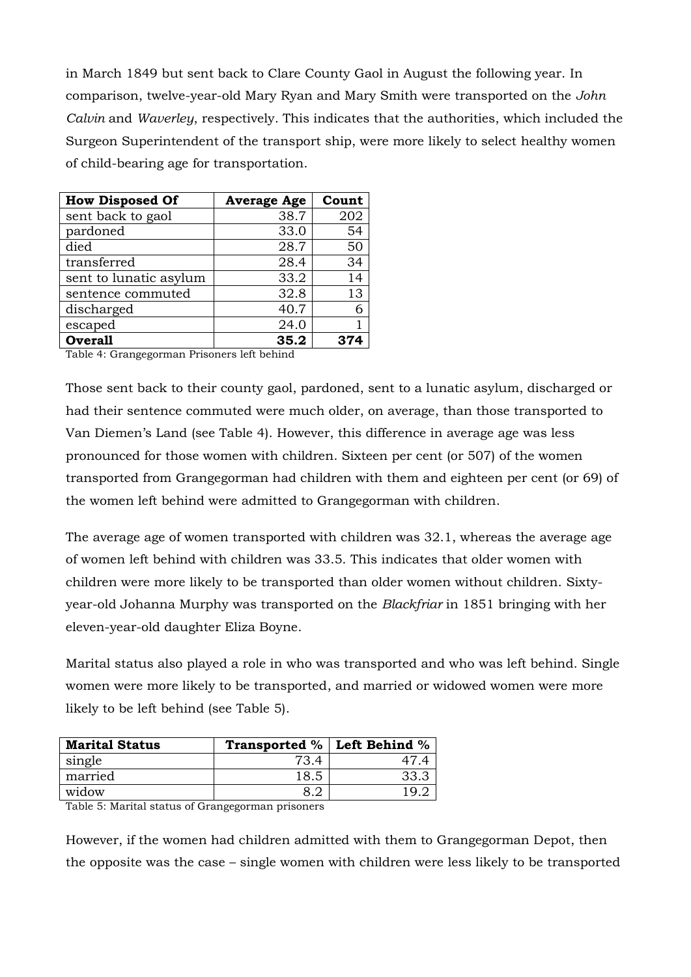in March 1849 but sent back to Clare County Gaol in August the following year. In comparison, twelve-year-old Mary Ryan and Mary Smith were transported on the *John Calvin* and *Waverley*, respectively. This indicates that the authorities, which included the Surgeon Superintendent of the transport ship, were more likely to select healthy women of child-bearing age for transportation.

| <b>How Disposed Of</b> | <b>Average Age</b> | Count |
|------------------------|--------------------|-------|
| sent back to gaol      | 38.7               | 202   |
| pardoned               | 33.0               | 54    |
| died                   | 28.7               | 50    |
| transferred            | 28.4               | 34    |
| sent to lunatic asylum | 33.2               | 14    |
| sentence commuted      | 32.8               | 13    |
| discharged             | 40.7               |       |
| escaped                | 24.0               |       |
| <b>Overall</b>         | 35.2               |       |

Table 4: Grangegorman Prisoners left behind

Those sent back to their county gaol, pardoned, sent to a lunatic asylum, discharged or had their sentence commuted were much older, on average, than those transported to Van Diemen's Land (see Table 4). However, this difference in average age was less pronounced for those women with children. Sixteen per cent (or 507) of the women transported from Grangegorman had children with them and eighteen per cent (or 69) of the women left behind were admitted to Grangegorman with children.

The average age of women transported with children was 32.1, whereas the average age of women left behind with children was 33.5. This indicates that older women with children were more likely to be transported than older women without children. Sixtyyear-old Johanna Murphy was transported on the *Blackfriar* in 1851 bringing with her eleven-year-old daughter Eliza Boyne.

Marital status also played a role in who was transported and who was left behind. Single women were more likely to be transported, and married or widowed women were more likely to be left behind (see Table 5).

| <b>Marital Status</b> | <b>Transported %   Left Behind %</b> |      |
|-----------------------|--------------------------------------|------|
| single                | 73.4                                 |      |
| married               | 18.5                                 | 33., |
| widow                 |                                      | 1 O  |

Table 5: Marital status of Grangegorman prisoners

However, if the women had children admitted with them to Grangegorman Depot, then the opposite was the case – single women with children were less likely to be transported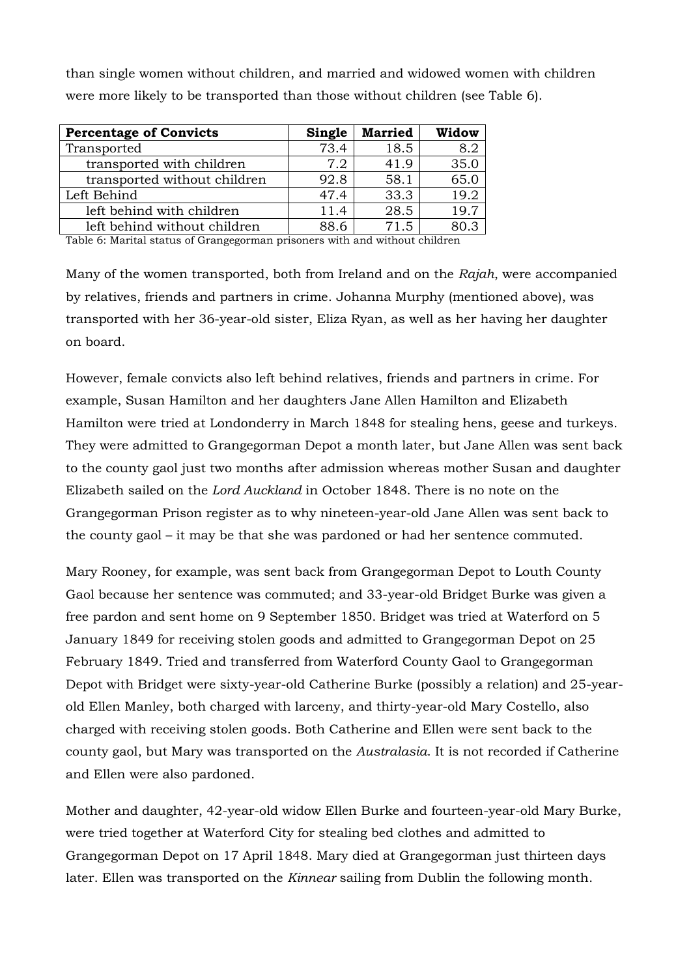than single women without children, and married and widowed women with children were more likely to be transported than those without children (see Table 6).

| <b>Percentage of Convicts</b> | Single | <b>Married</b> | Widow |
|-------------------------------|--------|----------------|-------|
| Transported                   | 73.4   | 18.5           | 8.2   |
| transported with children     | 7.2    | 41.9           | 35.0  |
| transported without children  | 92.8   | 58.1           | 65.0  |
| Left Behind                   | 47.4   | 33.3           | 19.2  |
| left behind with children     | 11.4   | 28.5           | 19.7  |
| left behind without children  | 88 R   | 71.5           | 80 3  |

Table 6: Marital status of Grangegorman prisoners with and without children

Many of the women transported, both from Ireland and on the *Rajah*, were accompanied by relatives, friends and partners in crime. Johanna Murphy (mentioned above), was transported with her 36-year-old sister, Eliza Ryan, as well as her having her daughter on board.

However, female convicts also left behind relatives, friends and partners in crime. For example, Susan Hamilton and her daughters Jane Allen Hamilton and Elizabeth Hamilton were tried at Londonderry in March 1848 for stealing hens, geese and turkeys. They were admitted to Grangegorman Depot a month later, but Jane Allen was sent back to the county gaol just two months after admission whereas mother Susan and daughter Elizabeth sailed on the *Lord Auckland* in October 1848. There is no note on the Grangegorman Prison register as to why nineteen-year-old Jane Allen was sent back to the county gaol – it may be that she was pardoned or had her sentence commuted.

Mary Rooney, for example, was sent back from Grangegorman Depot to Louth County Gaol because her sentence was commuted; and 33-year-old Bridget Burke was given a free pardon and sent home on 9 September 1850. Bridget was tried at Waterford on 5 January 1849 for receiving stolen goods and admitted to Grangegorman Depot on 25 February 1849. Tried and transferred from Waterford County Gaol to Grangegorman Depot with Bridget were sixty-year-old Catherine Burke (possibly a relation) and 25-yearold Ellen Manley, both charged with larceny, and thirty-year-old Mary Costello, also charged with receiving stolen goods. Both Catherine and Ellen were sent back to the county gaol, but Mary was transported on the *Australasia*. It is not recorded if Catherine and Ellen were also pardoned.

Mother and daughter, 42-year-old widow Ellen Burke and fourteen-year-old Mary Burke, were tried together at Waterford City for stealing bed clothes and admitted to Grangegorman Depot on 17 April 1848. Mary died at Grangegorman just thirteen days later. Ellen was transported on the *Kinnear* sailing from Dublin the following month.